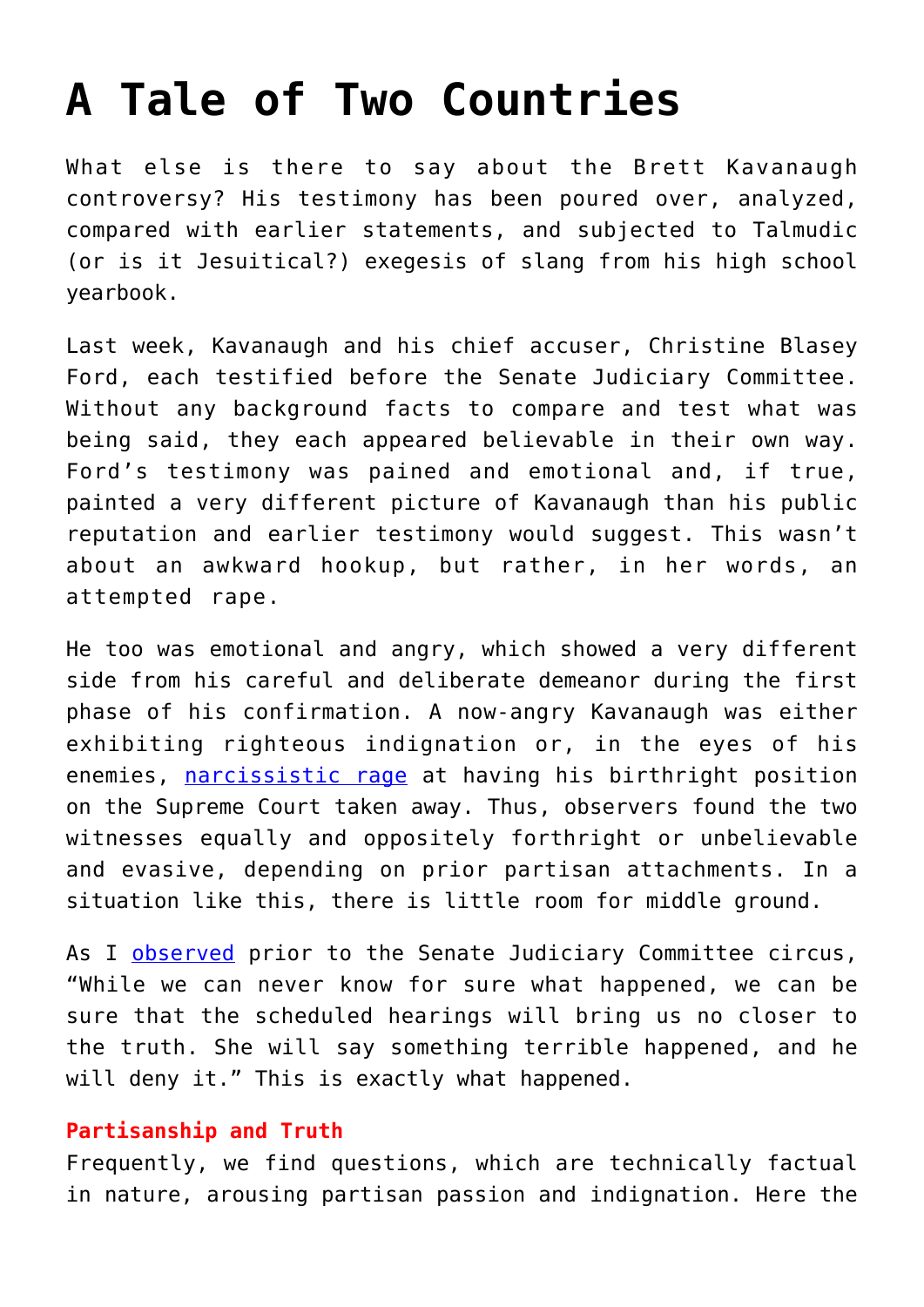## **[A Tale of Two Countries](https://intellectualtakeout.org/2018/10/a-tale-of-two-countries/)**

What else is there to say about the Brett Kavanaugh controversy? His testimony has been poured over, analyzed, compared with earlier statements, and subjected to Talmudic (or is it Jesuitical?) exegesis of slang from his high school yearbook.

Last week, Kavanaugh and his chief accuser, Christine Blasey Ford, each testified before the Senate Judiciary Committee. Without any background facts to compare and test what was being said, they each appeared believable in their own way. Ford's testimony was pained and emotional and, if true, painted a very different picture of Kavanaugh than his public reputation and earlier testimony would suggest. This wasn't about an awkward hookup, but rather, in her words, an attempted rape.

He too was emotional and angry, which showed a very different side from his careful and deliberate demeanor during the first phase of his confirmation. A now-angry Kavanaugh was either exhibiting righteous indignation or, in the eyes of his enemies, [narcissistic rage](https://www.newyorker.com/culture/cultural-comment/the-ford-kavanaugh-hearings-will-be-remembered-for-their-grotesque-display-of-patriarchal-resentment) at having his birthright position on the Supreme Court taken away. Thus, observers found the two witnesses equally and oppositely forthright or unbelievable and evasive, depending on prior partisan attachments. In a situation like this, there is little room for middle ground.

As I [observed](https://amgreatness.com/2018/09/19/extending-the-kavanaugh-hearings-is-a-losing-game/) prior to the Senate Judiciary Committee circus, "While we can never know for sure what happened, we can be sure that the scheduled hearings will bring us no closer to the truth. She will say something terrible happened, and he will deny it." This is exactly what happened.

## **Partisanship and Truth**

Frequently, we find questions, which are technically factual in nature, arousing partisan passion and indignation. Here the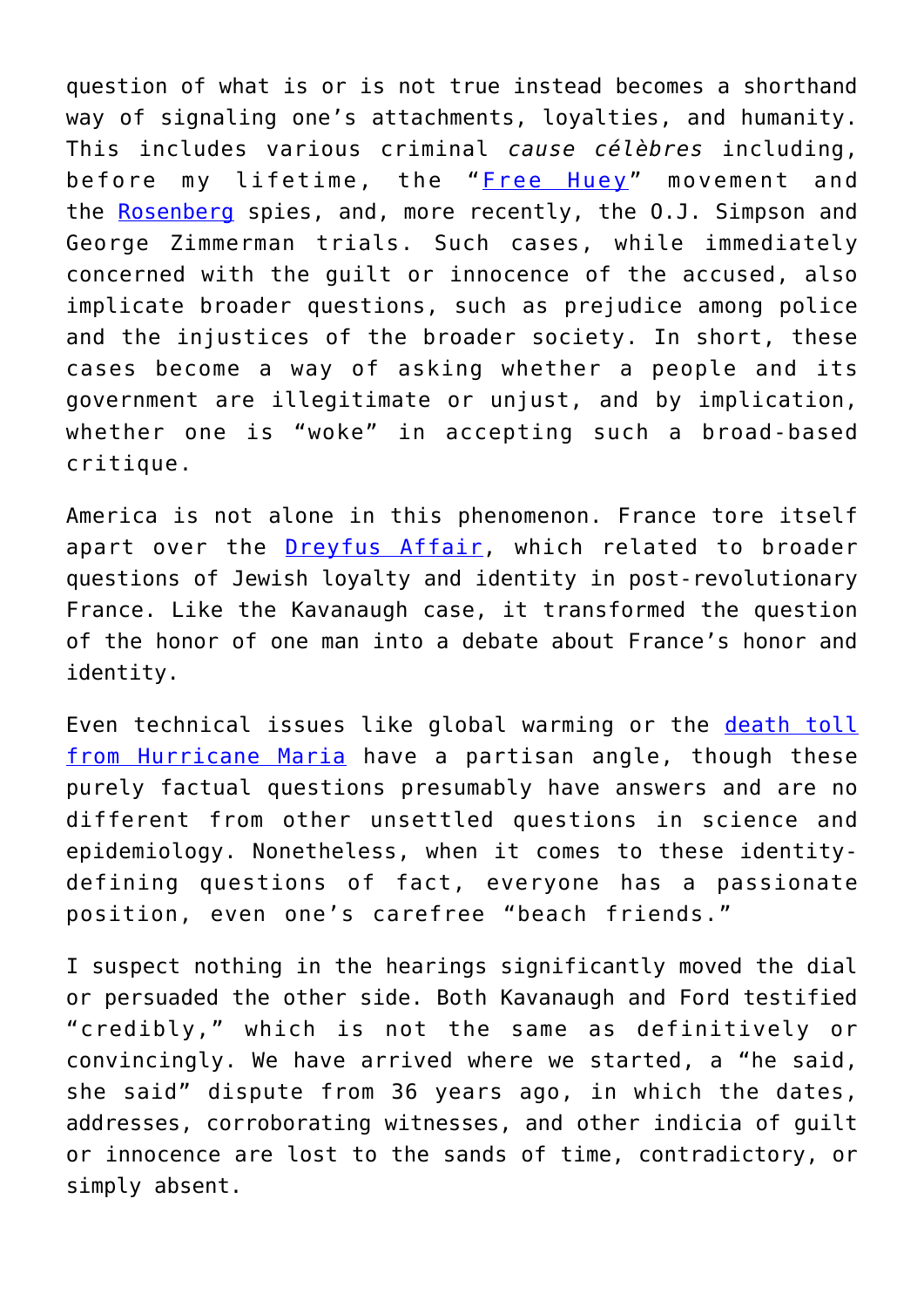question of what is or is not true instead becomes a shorthand way of signaling one's attachments, loyalties, and humanity. This includes various criminal *cause célèbres* including, before my lifetime, the "[Free Huey](https://en.wikipedia.org/wiki/Huey_P._Newton)" movement and the [Rosenberg](https://en.wikipedia.org/wiki/Julius_and_Ethel_Rosenberg) spies, and, more recently, the O.J. Simpson and George Zimmerman trials. Such cases, while immediately concerned with the guilt or innocence of the accused, also implicate broader questions, such as prejudice among police and the injustices of the broader society. In short, these cases become a way of asking whether a people and its government are illegitimate or unjust, and by implication, whether one is "woke" in accepting such a broad-based critique.

America is not alone in this phenomenon. France tore itself apart over the **[Dreyfus Affair](https://www.newyorker.com/magazine/2009/09/28/trial-of-the-century)**, which related to broader questions of Jewish loyalty and identity in post-revolutionary France. Like the Kavanaugh case, it transformed the question of the honor of one man into a debate about France's honor and identity.

Even technical issues like global warming or the [death toll](https://amgreatness.com/2018/09/21/the-one-true-puerto-rico-death-toll-and-other-fictions/) [from Hurricane Maria](https://amgreatness.com/2018/09/21/the-one-true-puerto-rico-death-toll-and-other-fictions/) have a partisan angle, though these purely factual questions presumably have answers and are no different from other unsettled questions in science and epidemiology. Nonetheless, when it comes to these identitydefining questions of fact, everyone has a passionate position, even one's carefree "beach friends."

I suspect nothing in the hearings significantly moved the dial or persuaded the other side. Both Kavanaugh and Ford testified "credibly," which is not the same as definitively or convincingly. We have arrived where we started, a "he said, she said" dispute from 36 years ago, in which the dates, addresses, corroborating witnesses, and other indicia of guilt or innocence are lost to the sands of time, contradictory, or simply absent.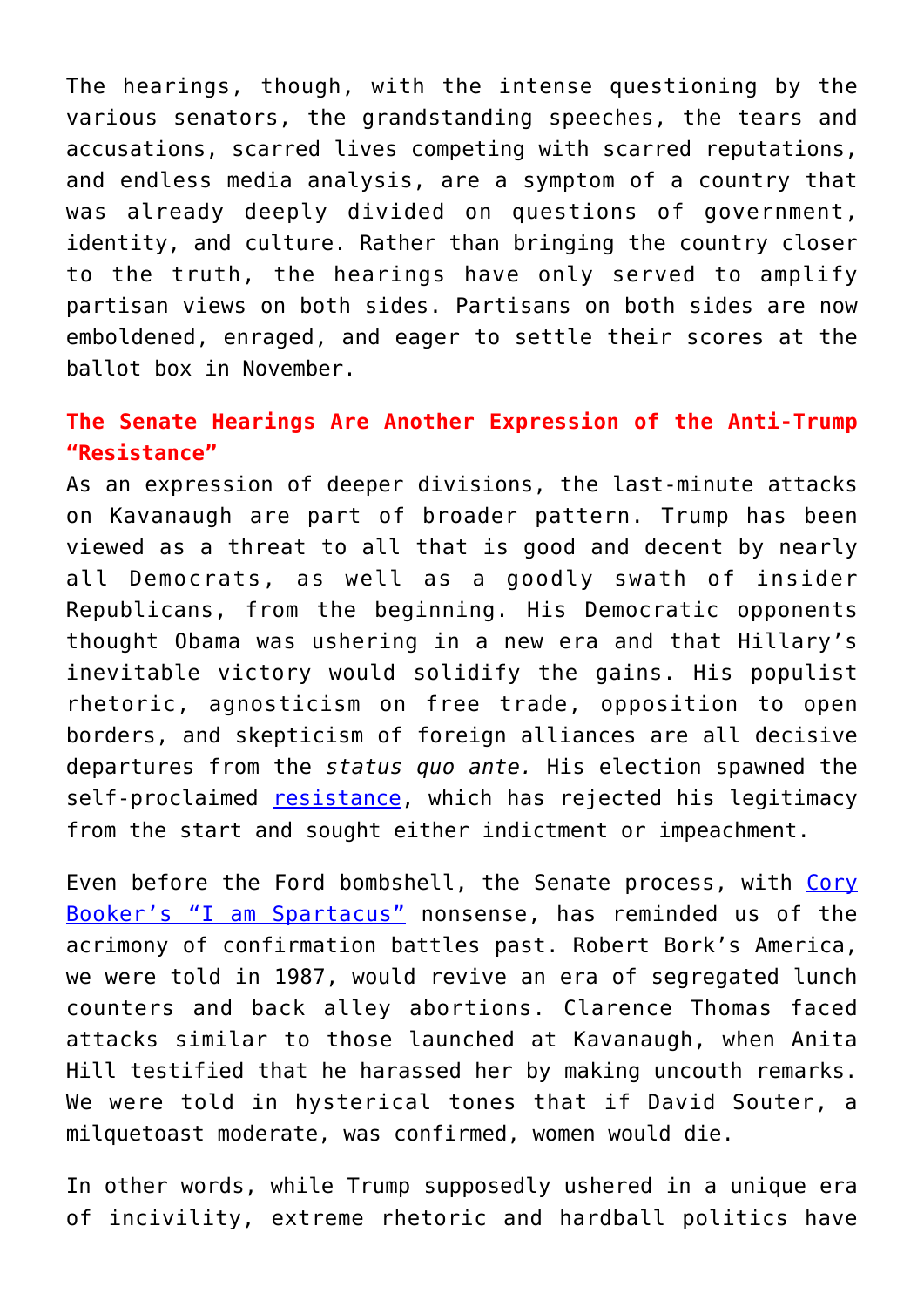The hearings, though, with the intense questioning by the various senators, the grandstanding speeches, the tears and accusations, scarred lives competing with scarred reputations, and endless media analysis, are a symptom of a country that was already deeply divided on questions of government, identity, and culture. Rather than bringing the country closer to the truth, the hearings have only served to amplify partisan views on both sides. Partisans on both sides are now emboldened, enraged, and eager to settle their scores at the ballot box in November.

## **The Senate Hearings Are Another Expression of the Anti-Trump "Resistance"**

As an expression of deeper divisions, the last-minute attacks on Kavanaugh are part of broader pattern. Trump has been viewed as a threat to all that is good and decent by nearly all Democrats, as well as a goodly swath of insider Republicans, from the beginning. His Democratic opponents thought Obama was ushering in a new era and that Hillary's inevitable victory would solidify the gains. His populist rhetoric, agnosticism on free trade, opposition to open borders, and skepticism of foreign alliances are all decisive departures from the *status quo ante.* His election spawned the self-proclaimed [resistance,](https://amgreatness.com/2018/06/05/the-real-meaning-of-theresistance/) which has rejected his legitimacy from the start and sought either indictment or impeachment.

Even before the Ford bombshell, the Senate process, with [Cory](https://amgreatness.com/2018/09/07/cory-bookers-commodus-moment/) [Booker's "I am Spartacus"](https://amgreatness.com/2018/09/07/cory-bookers-commodus-moment/) nonsense, has reminded us of the acrimony of confirmation battles past. Robert Bork's America, we were told in 1987, would revive an era of segregated lunch counters and back alley abortions. Clarence Thomas faced attacks similar to those launched at Kavanaugh, when Anita Hill testified that he harassed her by making uncouth remarks. We were told in hysterical tones that if David Souter, a milquetoast moderate, was confirmed, women would die.

In other words, while Trump supposedly ushered in a unique era of incivility, extreme rhetoric and hardball politics have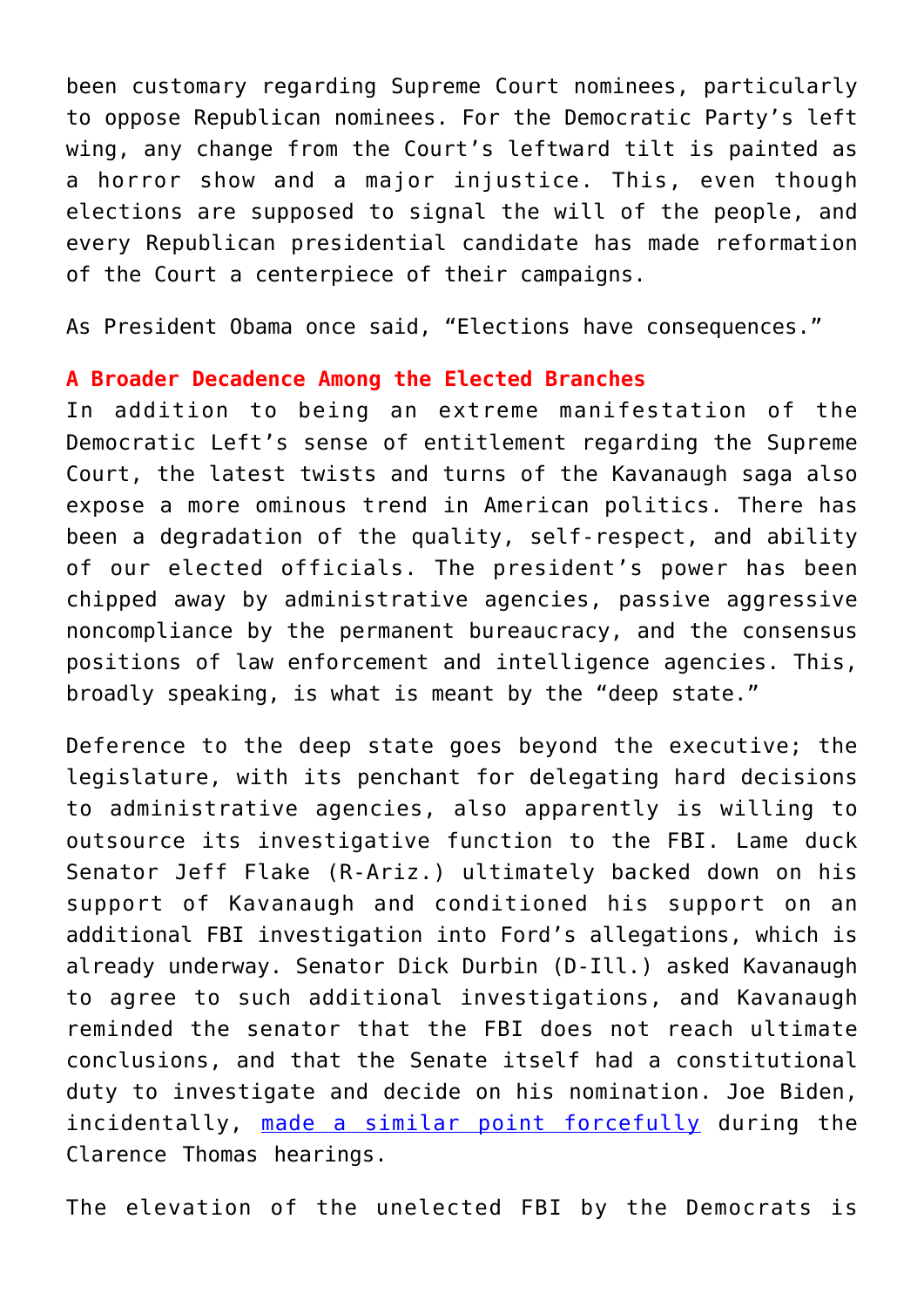been customary regarding Supreme Court nominees, particularly to oppose Republican nominees. For the Democratic Party's left wing, any change from the Court's leftward tilt is painted as a horror show and a major injustice. This, even though elections are supposed to signal the will of the people, and every Republican presidential candidate has made reformation of the Court a centerpiece of their campaigns.

As President Obama once said, "Elections have consequences."

## **A Broader Decadence Among the Elected Branches**

In addition to being an extreme manifestation of the Democratic Left's sense of entitlement regarding the Supreme Court, the latest twists and turns of the Kavanaugh saga also expose a more ominous trend in American politics. There has been a degradation of the quality, self-respect, and ability of our elected officials. The president's power has been chipped away by administrative agencies, passive aggressive noncompliance by the permanent bureaucracy, and the consensus positions of law enforcement and intelligence agencies. This, broadly speaking, is what is meant by the "deep state."

Deference to the deep state goes beyond the executive; the legislature, with its penchant for delegating hard decisions to administrative agencies, also apparently is willing to outsource its investigative function to the FBI. Lame duck Senator Jeff Flake (R-Ariz.) ultimately backed down on his support of Kavanaugh and conditioned his support on an additional FBI investigation into Ford's allegations, which is already underway. Senator Dick Durbin (D-Ill.) asked Kavanaugh to agree to such additional investigations, and Kavanaugh reminded the senator that the FBI does not reach ultimate conclusions, and that the Senate itself had a constitutional duty to investigate and decide on his nomination. Joe Biden, incidentally, [made a similar point forcefully](https://www.youtube.com/watch?v=kKZjR_n7R8w) during the Clarence Thomas hearings.

The elevation of the unelected FBI by the Democrats is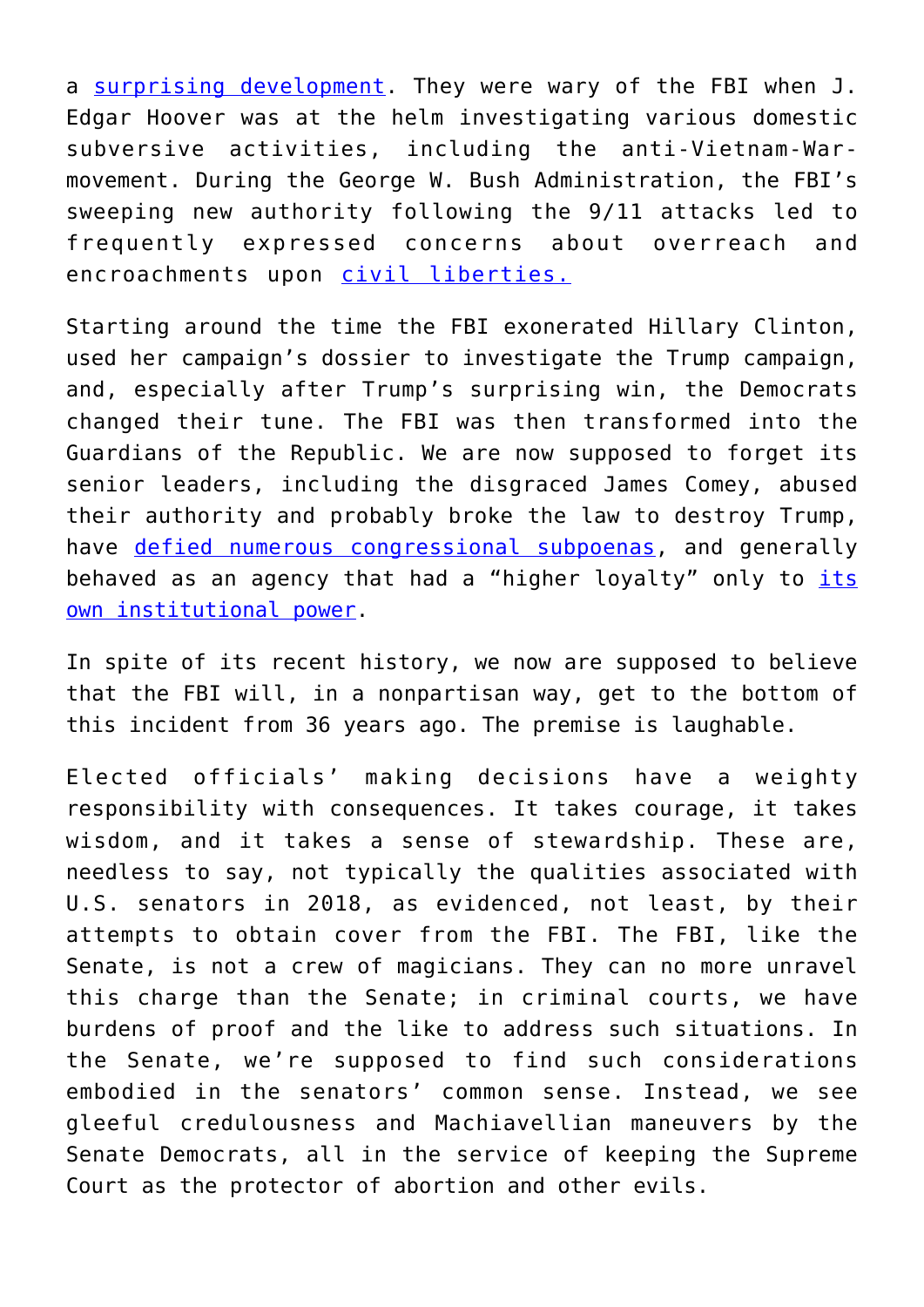a [surprising development](https://fivethirtyeight.com/features/why-democrats-and-republicans-did-a-sudden-180-on-the-fbi/). They were wary of the FBI when J. Edgar Hoover was at the helm investigating various domestic subversive activities, including the anti-Vietnam-Warmovement. During the George W. Bush Administration, the FBI's sweeping new authority following the 9/11 attacks led to frequently expressed concerns about overreach and encroachments upon [civil liberties.](https://www.wired.com/story/fisa-section-702-renewal-congress/)

Starting around the time the FBI exonerated Hillary Clinton, used her campaign's dossier to investigate the Trump campaign, and, especially after Trump's surprising win, the Democrats changed their tune. The FBI was then transformed into the Guardians of the Republic. We are now supposed to forget its senior leaders, including the disgraced James Comey, abused their authority and probably broke the law to destroy Trump, have [defied numerous congressional subpoenas](http://www.foxnews.com/politics/2018/04/04/nunes-threatens-to-enforce-subpoena-over-fbi-memo-that-kick-started-russia-investigation.html), and generally behaved as an agency that had a "higher loyalty" only to [its](https://amgreatness.com/2018/01/26/no-thing-independent-fbi/) [own institutional power](https://amgreatness.com/2018/01/26/no-thing-independent-fbi/).

In spite of its recent history, we now are supposed to believe that the FBI will, in a nonpartisan way, get to the bottom of this incident from 36 years ago. The premise is laughable.

Elected officials' making decisions have a weighty responsibility with consequences. It takes courage, it takes wisdom, and it takes a sense of stewardship. These are, needless to say, not typically the qualities associated with U.S. senators in 2018, as evidenced, not least, by their attempts to obtain cover from the FBI. The FBI, like the Senate, is not a crew of magicians. They can no more unravel this charge than the Senate; in criminal courts, we have burdens of proof and the like to address such situations. In the Senate, we're supposed to find such considerations embodied in the senators' common sense. Instead, we see gleeful credulousness and Machiavellian maneuvers by the Senate Democrats, all in the service of keeping the Supreme Court as the protector of abortion and other evils.